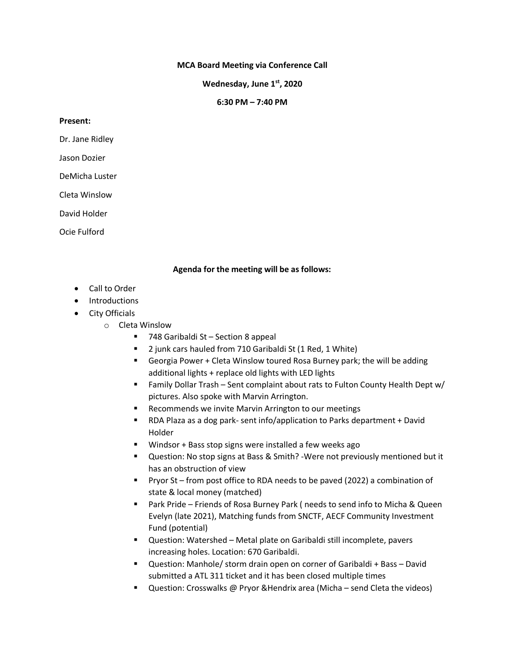## **MCA Board Meeting via Conference Call**

**Wednesday, June 1st, 2020**

**6:30 PM – 7:40 PM**

## **Present:**

Dr. Jane Ridley

Jason Dozier

DeMicha Luster

Cleta Winslow

David Holder

Ocie Fulford

## **Agenda for the meeting will be as follows:**

- Call to Order
- Introductions
- City Officials
	- o Cleta Winslow
		- 748 Garibaldi St Section 8 appeal
		- 2 junk cars hauled from 710 Garibaldi St (1 Red, 1 White)
		- Georgia Power + Cleta Winslow toured Rosa Burney park; the will be adding additional lights + replace old lights with LED lights
		- Family Dollar Trash Sent complaint about rats to Fulton County Health Dept w/ pictures. Also spoke with Marvin Arrington.
		- Recommends we invite Marvin Arrington to our meetings
		- RDA Plaza as a dog park- sent info/application to Parks department + David Holder
		- Windsor + Bass stop signs were installed a few weeks ago
		- Question: No stop signs at Bass & Smith? -Were not previously mentioned but it has an obstruction of view
		- Pryor St from post office to RDA needs to be paved (2022) a combination of state & local money (matched)
		- Park Pride Friends of Rosa Burney Park ( needs to send info to Micha & Queen Evelyn (late 2021), Matching funds from SNCTF, AECF Community Investment Fund (potential)
		- Question: Watershed Metal plate on Garibaldi still incomplete, pavers increasing holes. Location: 670 Garibaldi.
		- Question: Manhole/ storm drain open on corner of Garibaldi + Bass David submitted a ATL 311 ticket and it has been closed multiple times
		- Question: Crosswalks @ Pryor & Hendrix area (Micha send Cleta the videos)